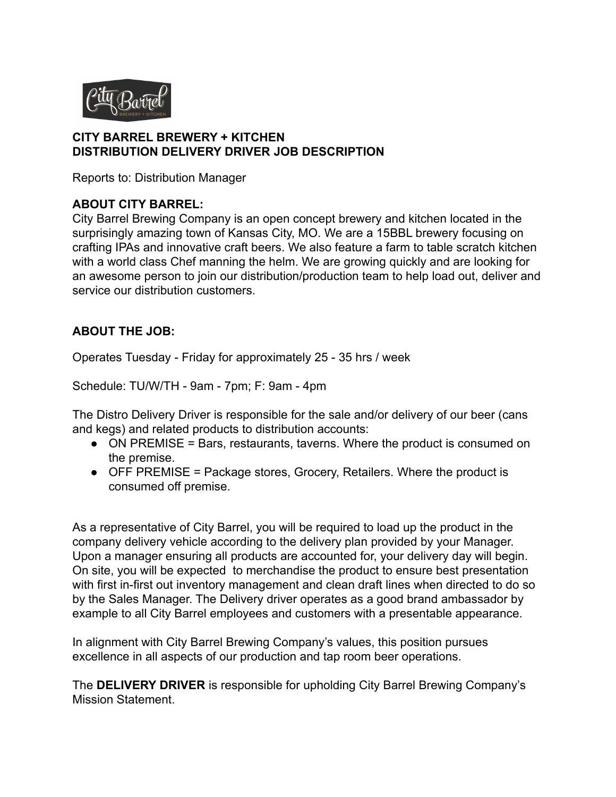

#### **CITY BARREL BREWERY + KITCHEN DISTRIBUTION DELIVERY DRIVER JOB DESCRIPTION**

Reports to: Distribution Manager

#### **ABOUT CITY BARREL:**

City Barrel Brewing Company is an open concept brewery and kitchen located in the surprisingly amazing town of Kansas City, MO. We are a 15BBL brewery focusing on crafting IPAs and innovative craft beers. We also feature a farm to table scratch kitchen with a world class Chef manning the helm. We are growing quickly and are looking for an awesome person to join our distribution/production team to help load out, deliver and service our distribution customers.

### **ABOUT THE JOB:**

Operates Tuesday - Friday for approximately 25 - 35 hrs / week

Schedule: TU/W/TH - 9am - 7pm; F: 9am - 4pm

The Distro Delivery Driver is responsible for the sale and/or delivery of our beer (cans and kegs) and related products to distribution accounts:

- ON PREMISE = Bars, restaurants, taverns. Where the product is consumed on the premise.
- OFF PREMISE = Package stores, Grocery, Retailers. Where the product is consumed off premise.

As a representative of City Barrel, you will be required to load up the product in the company delivery vehicle according to the delivery plan provided by your Manager. Upon a manager ensuring all products are accounted for, your delivery day will begin. On site, you will be expected to merchandise the product to ensure best presentation with first in-first out inventory management and clean draft lines when directed to do so by the Sales Manager. The Delivery driver operates as a good brand ambassador by example to all City Barrel employees and customers with a presentable appearance.

In alignment with City Barrel Brewing Company's values, this position pursues excellence in all aspects of our production and tap room beer operations.

The **DELIVERY DRIVER** is responsible for upholding City Barrel Brewing Company's Mission Statement.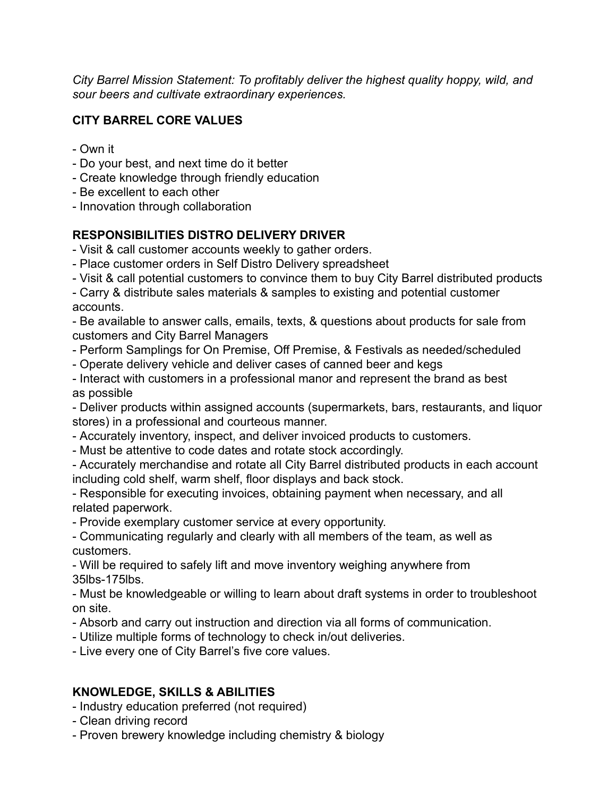*City Barrel Mission Statement: To profitably deliver the highest quality hoppy, wild, and sour beers and cultivate extraordinary experiences.*

## **CITY BARREL CORE VALUES**

- Own it
- Do your best, and next time do it better
- Create knowledge through friendly education
- Be excellent to each other
- Innovation through collaboration

### **RESPONSIBILITIES DISTRO DELIVERY DRIVER**

- Visit & call customer accounts weekly to gather orders.

- Place customer orders in Self Distro Delivery spreadsheet

- Visit & call potential customers to convince them to buy City Barrel distributed products

- Carry & distribute sales materials & samples to existing and potential customer accounts.

- Be available to answer calls, emails, texts, & questions about products for sale from customers and City Barrel Managers

- Perform Samplings for On Premise, Off Premise, & Festivals as needed/scheduled
- Operate delivery vehicle and deliver cases of canned beer and kegs
- Interact with customers in a professional manor and represent the brand as best as possible

- Deliver products within assigned accounts (supermarkets, bars, restaurants, and liquor stores) in a professional and courteous manner.

- Accurately inventory, inspect, and deliver invoiced products to customers.
- Must be attentive to code dates and rotate stock accordingly.

- Accurately merchandise and rotate all City Barrel distributed products in each account including cold shelf, warm shelf, floor displays and back stock.

- Responsible for executing invoices, obtaining payment when necessary, and all related paperwork.

- Provide exemplary customer service at every opportunity.

- Communicating regularly and clearly with all members of the team, as well as customers.

- Will be required to safely lift and move inventory weighing anywhere from 35lbs-175lbs.

- Must be knowledgeable or willing to learn about draft systems in order to troubleshoot on site.

- Absorb and carry out instruction and direction via all forms of communication.
- Utilize multiple forms of technology to check in/out deliveries.

- Live every one of City Barrel's five core values.

#### **KNOWLEDGE, SKILLS & ABILITIES**

- Industry education preferred (not required)
- Clean driving record
- Proven brewery knowledge including chemistry & biology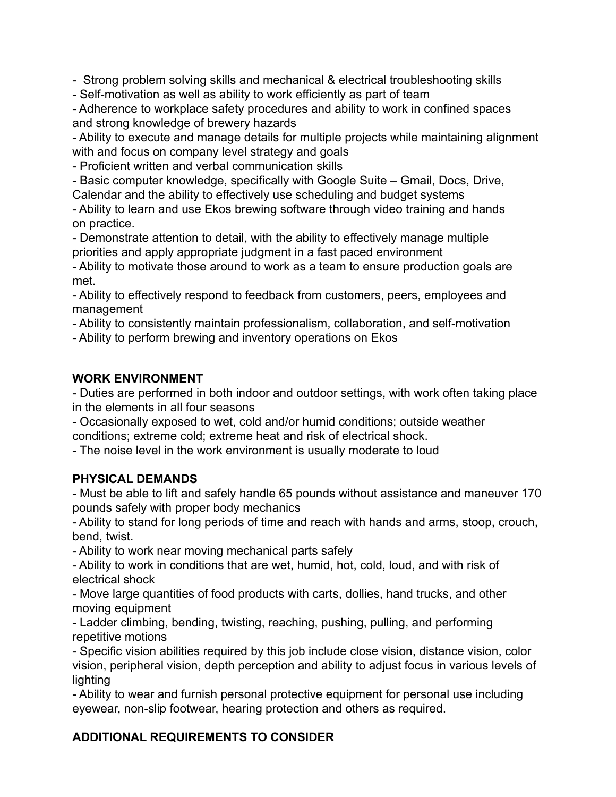- Strong problem solving skills and mechanical & electrical troubleshooting skills

- Self-motivation as well as ability to work efficiently as part of team

- Adherence to workplace safety procedures and ability to work in confined spaces and strong knowledge of brewery hazards

- Ability to execute and manage details for multiple projects while maintaining alignment with and focus on company level strategy and goals

- Proficient written and verbal communication skills

- Basic computer knowledge, specifically with Google Suite – Gmail, Docs, Drive, Calendar and the ability to effectively use scheduling and budget systems

- Ability to learn and use Ekos brewing software through video training and hands on practice.

- Demonstrate attention to detail, with the ability to effectively manage multiple priorities and apply appropriate judgment in a fast paced environment

- Ability to motivate those around to work as a team to ensure production goals are met.

- Ability to effectively respond to feedback from customers, peers, employees and management

- Ability to consistently maintain professionalism, collaboration, and self-motivation

- Ability to perform brewing and inventory operations on Ekos

#### **WORK ENVIRONMENT**

- Duties are performed in both indoor and outdoor settings, with work often taking place in the elements in all four seasons

- Occasionally exposed to wet, cold and/or humid conditions; outside weather conditions; extreme cold; extreme heat and risk of electrical shock.

- The noise level in the work environment is usually moderate to loud

#### **PHYSICAL DEMANDS**

- Must be able to lift and safely handle 65 pounds without assistance and maneuver 170 pounds safely with proper body mechanics

- Ability to stand for long periods of time and reach with hands and arms, stoop, crouch, bend, twist.

- Ability to work near moving mechanical parts safely

- Ability to work in conditions that are wet, humid, hot, cold, loud, and with risk of electrical shock

- Move large quantities of food products with carts, dollies, hand trucks, and other moving equipment

- Ladder climbing, bending, twisting, reaching, pushing, pulling, and performing repetitive motions

- Specific vision abilities required by this job include close vision, distance vision, color vision, peripheral vision, depth perception and ability to adjust focus in various levels of lighting

- Ability to wear and furnish personal protective equipment for personal use including eyewear, non-slip footwear, hearing protection and others as required.

# **ADDITIONAL REQUIREMENTS TO CONSIDER**